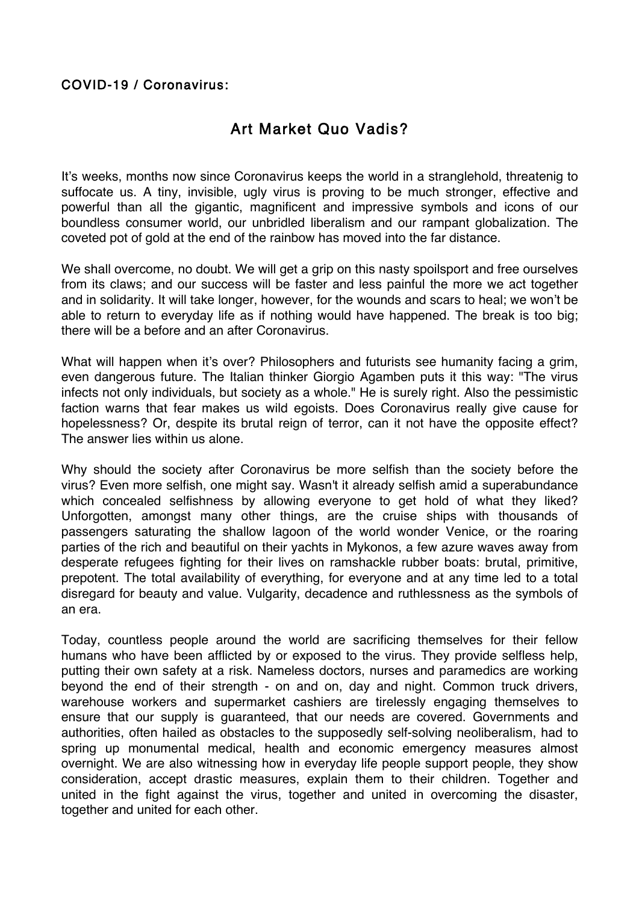## COVID-19 / Coronavirus:

## Art Market Quo Vadis?

It's weeks, months now since Coronavirus keeps the world in a stranglehold, threatenig to suffocate us. A tiny, invisible, ugly virus is proving to be much stronger, effective and powerful than all the gigantic, magnificent and impressive symbols and icons of our boundless consumer world, our unbridled liberalism and our rampant globalization. The coveted pot of gold at the end of the rainbow has moved into the far distance.

We shall overcome, no doubt. We will get a grip on this nasty spoilsport and free ourselves from its claws; and our success will be faster and less painful the more we act together and in solidarity. It will take longer, however, for the wounds and scars to heal; we won't be able to return to everyday life as if nothing would have happened. The break is too big; there will be a before and an after Coronavirus.

What will happen when it's over? Philosophers and futurists see humanity facing a grim, even dangerous future. The Italian thinker Giorgio Agamben puts it this way: "The virus infects not only individuals, but society as a whole." He is surely right. Also the pessimistic faction warns that fear makes us wild egoists. Does Coronavirus really give cause for hopelessness? Or, despite its brutal reign of terror, can it not have the opposite effect? The answer lies within us alone.

Why should the society after Coronavirus be more selfish than the society before the virus? Even more selfish, one might say. Wasn't it already selfish amid a superabundance which concealed selfishness by allowing everyone to get hold of what they liked? Unforgotten, amongst many other things, are the cruise ships with thousands of passengers saturating the shallow lagoon of the world wonder Venice, or the roaring parties of the rich and beautiful on their yachts in Mykonos, a few azure waves away from desperate refugees fighting for their lives on ramshackle rubber boats: brutal, primitive, prepotent. The total availability of everything, for everyone and at any time led to a total disregard for beauty and value. Vulgarity, decadence and ruthlessness as the symbols of an era.

Today, countless people around the world are sacrificing themselves for their fellow humans who have been afflicted by or exposed to the virus. They provide selfless help, putting their own safety at a risk. Nameless doctors, nurses and paramedics are working beyond the end of their strength - on and on, day and night. Common truck drivers, warehouse workers and supermarket cashiers are tirelessly engaging themselves to ensure that our supply is guaranteed, that our needs are covered. Governments and authorities, often hailed as obstacles to the supposedly self-solving neoliberalism, had to spring up monumental medical, health and economic emergency measures almost overnight. We are also witnessing how in everyday life people support people, they show consideration, accept drastic measures, explain them to their children. Together and united in the fight against the virus, together and united in overcoming the disaster, together and united for each other.